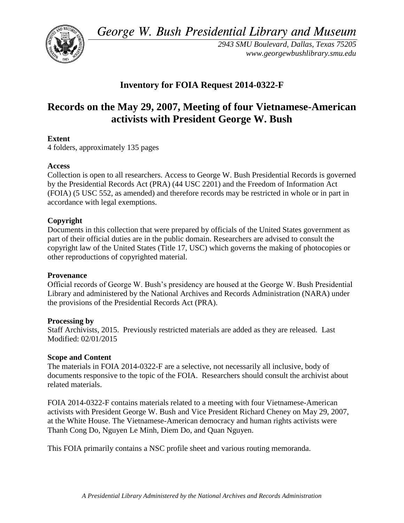*George W. Bush Presidential Library and Museum*



*2943 SMU Boulevard, Dallas, Texas 75205 www.georgewbushlibrary.smu.edu*

## **Inventory for FOIA Request 2014-0322-F**

# **Records on the May 29, 2007, Meeting of four Vietnamese-American activists with President George W. Bush**

## **Extent**

4 folders, approximately 135 pages

## **Access**

Collection is open to all researchers. Access to George W. Bush Presidential Records is governed by the Presidential Records Act (PRA) (44 USC 2201) and the Freedom of Information Act (FOIA) (5 USC 552, as amended) and therefore records may be restricted in whole or in part in accordance with legal exemptions.

## **Copyright**

Documents in this collection that were prepared by officials of the United States government as part of their official duties are in the public domain. Researchers are advised to consult the copyright law of the United States (Title 17, USC) which governs the making of photocopies or other reproductions of copyrighted material.

#### **Provenance**

Official records of George W. Bush's presidency are housed at the George W. Bush Presidential Library and administered by the National Archives and Records Administration (NARA) under the provisions of the Presidential Records Act (PRA).

#### **Processing by**

Staff Archivists, 2015. Previously restricted materials are added as they are released. Last Modified: 02/01/2015

## **Scope and Content**

The materials in FOIA 2014-0322-F are a selective, not necessarily all inclusive, body of documents responsive to the topic of the FOIA. Researchers should consult the archivist about related materials.

FOIA 2014-0322-F contains materials related to a meeting with four Vietnamese-American activists with President George W. Bush and Vice President Richard Cheney on May 29, 2007, at the White House. The Vietnamese-American democracy and human rights activists were Thanh Cong Do, Nguyen Le Minh, Diem Do, and Quan Nguyen.

This FOIA primarily contains a NSC profile sheet and various routing memoranda.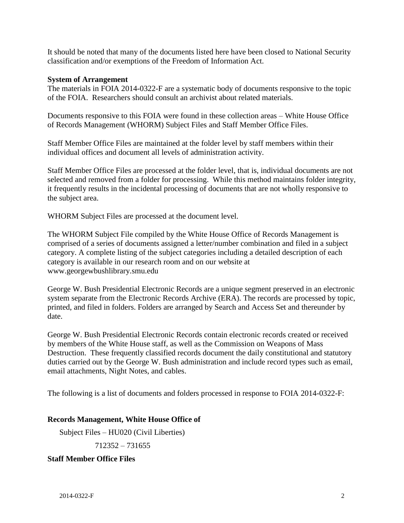It should be noted that many of the documents listed here have been closed to National Security classification and/or exemptions of the Freedom of Information Act.

#### **System of Arrangement**

The materials in FOIA 2014-0322-F are a systematic body of documents responsive to the topic of the FOIA. Researchers should consult an archivist about related materials.

Documents responsive to this FOIA were found in these collection areas – White House Office of Records Management (WHORM) Subject Files and Staff Member Office Files.

Staff Member Office Files are maintained at the folder level by staff members within their individual offices and document all levels of administration activity.

Staff Member Office Files are processed at the folder level, that is, individual documents are not selected and removed from a folder for processing. While this method maintains folder integrity, it frequently results in the incidental processing of documents that are not wholly responsive to the subject area.

WHORM Subject Files are processed at the document level.

The WHORM Subject File compiled by the White House Office of Records Management is comprised of a series of documents assigned a letter/number combination and filed in a subject category. A complete listing of the subject categories including a detailed description of each category is available in our research room and on our website at www.georgewbushlibrary.smu.edu

George W. Bush Presidential Electronic Records are a unique segment preserved in an electronic system separate from the Electronic Records Archive (ERA). The records are processed by topic, printed, and filed in folders. Folders are arranged by Search and Access Set and thereunder by date.

George W. Bush Presidential Electronic Records contain electronic records created or received by members of the White House staff, as well as the Commission on Weapons of Mass Destruction. These frequently classified records document the daily constitutional and statutory duties carried out by the George W. Bush administration and include record types such as email, email attachments, Night Notes, and cables.

The following is a list of documents and folders processed in response to FOIA 2014-0322-F:

#### **Records Management, White House Office of**

Subject Files – HU020 (Civil Liberties)

712352 – 731655

#### **Staff Member Office Files**